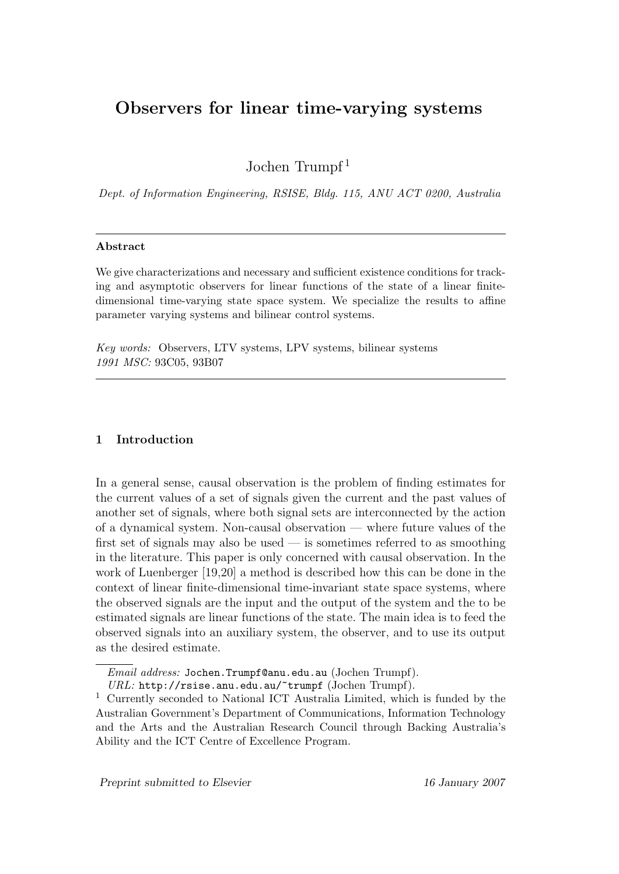# Observers for linear time-varying systems

Jochen Trumpf <sup>1</sup>

Dept. of Information Engineering, RSISE, Bldg. 115, ANU ACT 0200, Australia

# Abstract

We give characterizations and necessary and sufficient existence conditions for tracking and asymptotic observers for linear functions of the state of a linear finitedimensional time-varying state space system. We specialize the results to affine parameter varying systems and bilinear control systems.

Key words: Observers, LTV systems, LPV systems, bilinear systems 1991 MSC: 93C05, 93B07

# 1 Introduction

In a general sense, causal observation is the problem of finding estimates for the current values of a set of signals given the current and the past values of another set of signals, where both signal sets are interconnected by the action of a dynamical system. Non-causal observation — where future values of the first set of signals may also be used — is sometimes referred to as smoothing in the literature. This paper is only concerned with causal observation. In the work of Luenberger [19,20] a method is described how this can be done in the context of linear finite-dimensional time-invariant state space systems, where the observed signals are the input and the output of the system and the to be estimated signals are linear functions of the state. The main idea is to feed the observed signals into an auxiliary system, the observer, and to use its output as the desired estimate.

Email address: Jochen.Trumpf@anu.edu.au (Jochen Trumpf).

URL: http://rsise.anu.edu.au/~trumpf (Jochen Trumpf).

<sup>1</sup> Currently seconded to National ICT Australia Limited, which is funded by the Australian Government's Department of Communications, Information Technology and the Arts and the Australian Research Council through Backing Australia's Ability and the ICT Centre of Excellence Program.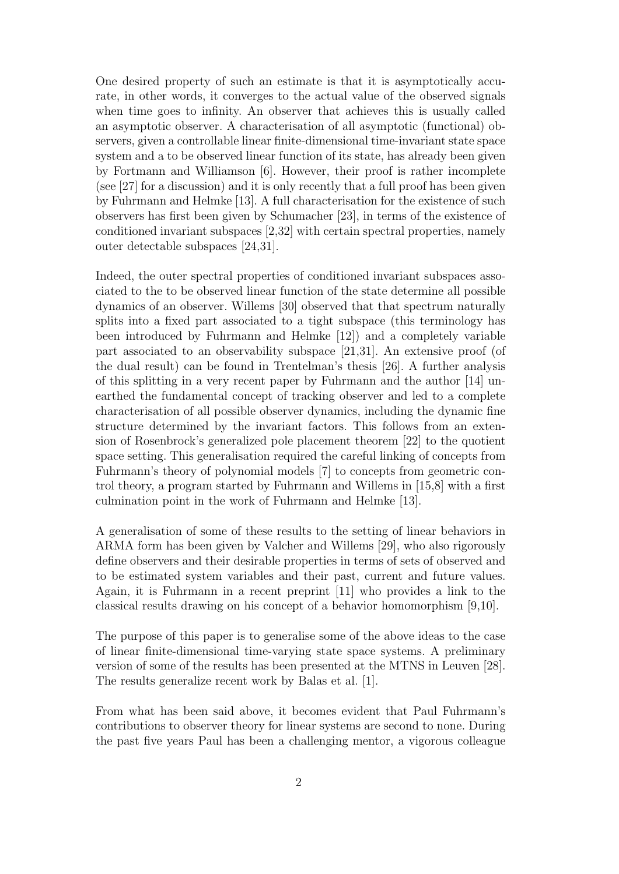One desired property of such an estimate is that it is asymptotically accurate, in other words, it converges to the actual value of the observed signals when time goes to infinity. An observer that achieves this is usually called an asymptotic observer. A characterisation of all asymptotic (functional) observers, given a controllable linear finite-dimensional time-invariant state space system and a to be observed linear function of its state, has already been given by Fortmann and Williamson [6]. However, their proof is rather incomplete (see [27] for a discussion) and it is only recently that a full proof has been given by Fuhrmann and Helmke [13]. A full characterisation for the existence of such observers has first been given by Schumacher [23], in terms of the existence of conditioned invariant subspaces [2,32] with certain spectral properties, namely outer detectable subspaces [24,31].

Indeed, the outer spectral properties of conditioned invariant subspaces associated to the to be observed linear function of the state determine all possible dynamics of an observer. Willems [30] observed that that spectrum naturally splits into a fixed part associated to a tight subspace (this terminology has been introduced by Fuhrmann and Helmke [12]) and a completely variable part associated to an observability subspace [21,31]. An extensive proof (of the dual result) can be found in Trentelman's thesis [26]. A further analysis of this splitting in a very recent paper by Fuhrmann and the author [14] unearthed the fundamental concept of tracking observer and led to a complete characterisation of all possible observer dynamics, including the dynamic fine structure determined by the invariant factors. This follows from an extension of Rosenbrock's generalized pole placement theorem [22] to the quotient space setting. This generalisation required the careful linking of concepts from Fuhrmann's theory of polynomial models [7] to concepts from geometric control theory, a program started by Fuhrmann and Willems in [15,8] with a first culmination point in the work of Fuhrmann and Helmke [13].

A generalisation of some of these results to the setting of linear behaviors in ARMA form has been given by Valcher and Willems [29], who also rigorously define observers and their desirable properties in terms of sets of observed and to be estimated system variables and their past, current and future values. Again, it is Fuhrmann in a recent preprint [11] who provides a link to the classical results drawing on his concept of a behavior homomorphism [9,10].

The purpose of this paper is to generalise some of the above ideas to the case of linear finite-dimensional time-varying state space systems. A preliminary version of some of the results has been presented at the MTNS in Leuven [28]. The results generalize recent work by Balas et al. [1].

From what has been said above, it becomes evident that Paul Fuhrmann's contributions to observer theory for linear systems are second to none. During the past five years Paul has been a challenging mentor, a vigorous colleague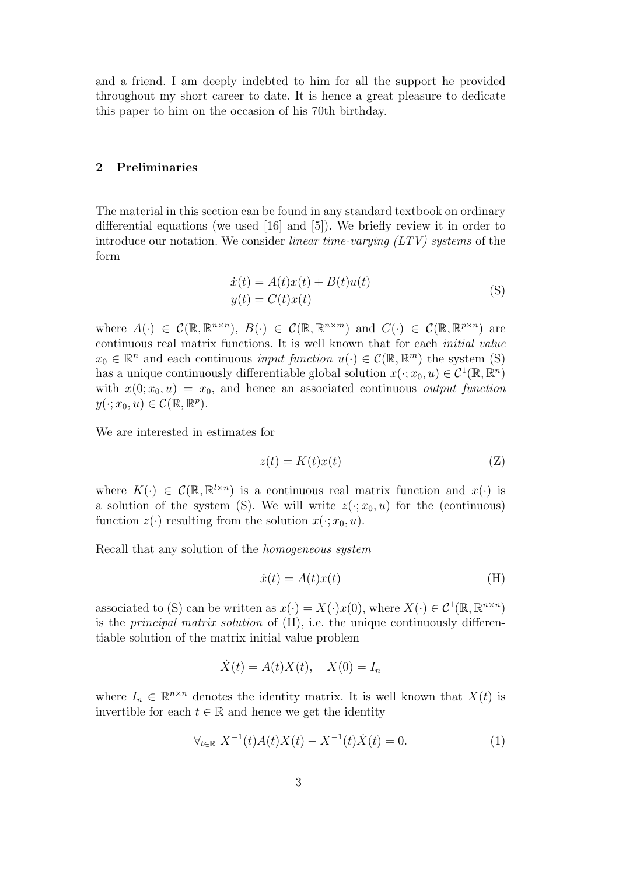and a friend. I am deeply indebted to him for all the support he provided throughout my short career to date. It is hence a great pleasure to dedicate this paper to him on the occasion of his 70th birthday.

## 2 Preliminaries

The material in this section can be found in any standard textbook on ordinary differential equations (we used [16] and [5]). We briefly review it in order to introduce our notation. We consider *linear time-varying*  $(LTV)$  *systems* of the form

$$
\begin{aligned} \dot{x}(t) &= A(t)x(t) + B(t)u(t) \\ y(t) &= C(t)x(t) \end{aligned} \tag{S}
$$

where  $A(\cdot) \in \mathcal{C}(\mathbb{R}, \mathbb{R}^{n \times n}), B(\cdot) \in \mathcal{C}(\mathbb{R}, \mathbb{R}^{n \times m})$  and  $C(\cdot) \in \mathcal{C}(\mathbb{R}, \mathbb{R}^{p \times n})$  are continuous real matrix functions. It is well known that for each initial value  $x_0 \in \mathbb{R}^n$  and each continuous *input function*  $u(\cdot) \in \mathcal{C}(\mathbb{R}, \mathbb{R}^m)$  the system (S) has a unique continuously differentiable global solution  $x(\cdot; x_0, u) \in C^1(\mathbb{R}, \mathbb{R}^n)$ with  $x(0; x_0, u) = x_0$ , and hence an associated continuous *output function*  $y(\cdot; x_0, u) \in \mathcal{C}(\mathbb{R}, \mathbb{R}^p).$ 

We are interested in estimates for

$$
z(t) = K(t)x(t)
$$
 (Z)

where  $K(\cdot) \in \mathcal{C}(\mathbb{R}, \mathbb{R}^{l \times n})$  is a continuous real matrix function and  $x(\cdot)$  is a solution of the system (S). We will write  $z(\cdot; x_0, u)$  for the (continuous) function  $z(\cdot)$  resulting from the solution  $x(\cdot; x_0, u)$ .

Recall that any solution of the homogeneous system

$$
\dot{x}(t) = A(t)x(t) \tag{H}
$$

associated to (S) can be written as  $x(\cdot) = X(\cdot)x(0)$ , where  $X(\cdot) \in C^1(\mathbb{R}, \mathbb{R}^{n \times n})$ is the *principal matrix solution* of  $(H)$ , i.e. the unique continuously differentiable solution of the matrix initial value problem

$$
\dot{X}(t) = A(t)X(t), \quad X(0) = I_n
$$

where  $I_n \in \mathbb{R}^{n \times n}$  denotes the identity matrix. It is well known that  $X(t)$  is invertible for each  $t \in \mathbb{R}$  and hence we get the identity

$$
\forall_{t \in \mathbb{R}} \ X^{-1}(t) A(t) X(t) - X^{-1}(t) \dot{X}(t) = 0.
$$
 (1)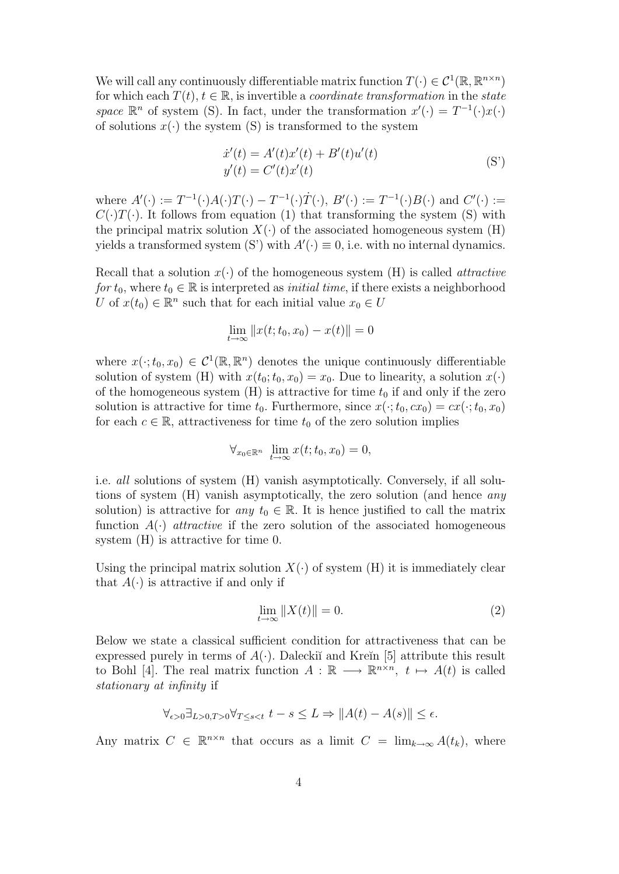We will call any continuously differentiable matrix function  $T(\cdot) \in C^1(\mathbb{R}, \mathbb{R}^{n \times n})$ for which each  $T(t)$ ,  $t \in \mathbb{R}$ , is invertible a *coordinate transformation* in the *state* space  $\mathbb{R}^n$  of system (S). In fact, under the transformation  $x'(\cdot) = T^{-1}(\cdot)x(\cdot)$ of solutions  $x(\cdot)$  the system (S) is transformed to the system

$$
\dot{x}'(t) = A'(t)x'(t) + B'(t)u'(t) \n y'(t) = C'(t)x'(t)
$$
\n(S')

where  $A'(\cdot) := T^{-1}(\cdot)A(\cdot)T(\cdot) - T^{-1}(\cdot)\dot{T}(\cdot), B'(\cdot) := T^{-1}(\cdot)B(\cdot)$  and  $C'(\cdot) :=$  $C(\cdot)T(\cdot)$ . It follows from equation (1) that transforming the system (S) with the principal matrix solution  $X(\cdot)$  of the associated homogeneous system (H) yields a transformed system (S') with  $A'(\cdot) \equiv 0$ , i.e. with no internal dynamics.

Recall that a solution  $x(\cdot)$  of the homogeneous system (H) is called *attractive* for  $t_0$ , where  $t_0 \in \mathbb{R}$  is interpreted as *initial time*, if there exists a neighborhood U of  $x(t_0) \in \mathbb{R}^n$  such that for each initial value  $x_0 \in U$ 

$$
\lim_{t \to \infty} ||x(t; t_0, x_0) - x(t)|| = 0
$$

where  $x(\cdot; t_0, x_0) \in C^1(\mathbb{R}, \mathbb{R}^n)$  denotes the unique continuously differentiable solution of system (H) with  $x(t_0; t_0, x_0) = x_0$ . Due to linearity, a solution  $x(\cdot)$ of the homogeneous system  $(H)$  is attractive for time  $t_0$  if and only if the zero solution is attractive for time  $t_0$ . Furthermore, since  $x(\cdot; t_0, cx_0) = cx(\cdot; t_0, x_0)$ for each  $c \in \mathbb{R}$ , attractiveness for time  $t_0$  of the zero solution implies

$$
\forall_{x_0 \in \mathbb{R}^n} \ \lim_{t \to \infty} x(t; t_0, x_0) = 0,
$$

i.e. all solutions of system (H) vanish asymptotically. Conversely, if all solutions of system (H) vanish asymptotically, the zero solution (and hence any solution) is attractive for any  $t_0 \in \mathbb{R}$ . It is hence justified to call the matrix function  $A(\cdot)$  *attractive* if the zero solution of the associated homogeneous system (H) is attractive for time 0.

Using the principal matrix solution  $X(\cdot)$  of system (H) it is immediately clear that  $A(\cdot)$  is attractive if and only if

$$
\lim_{t \to \infty} \|X(t)\| = 0. \tag{2}
$$

Below we state a classical sufficient condition for attractiveness that can be expressed purely in terms of  $A(\cdot)$ . Dalecki<sup>v</sup> and Kre $\in$  [5] attribute this result to Bohl [4]. The real matrix function  $A : \mathbb{R} \longrightarrow \mathbb{R}^{n \times n}$ ,  $t \mapsto A(t)$  is called stationary at infinity if

$$
\forall_{\epsilon>0} \exists_{L>0,T>0} \forall_{T\leq s
$$

Any matrix  $C \in \mathbb{R}^{n \times n}$  that occurs as a limit  $C = \lim_{k \to \infty} A(t_k)$ , where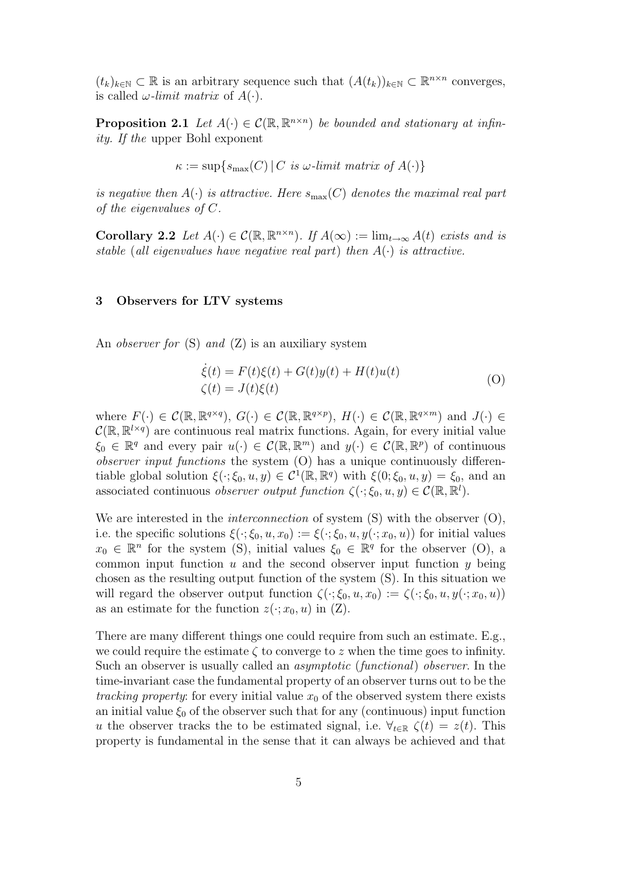$(t_k)_{k \in \mathbb{N}} \subset \mathbb{R}$  is an arbitrary sequence such that  $(A(t_k))_{k \in \mathbb{N}} \subset \mathbb{R}^{n \times n}$  converges, is called  $\omega$ -limit matrix of  $A(\cdot)$ .

**Proposition 2.1** Let  $A(\cdot) \in \mathcal{C}(\mathbb{R}, \mathbb{R}^{n \times n})$  be bounded and stationary at infinity. If the upper Bohl exponent

$$
\kappa := \sup\{s_{\max}(C) | C \text{ is } \omega\text{-limit matrix of } A(\cdot)\}
$$

is negative then  $A(\cdot)$  is attractive. Here  $s_{\text{max}}(C)$  denotes the maximal real part of the eigenvalues of C.

Corollary 2.2 Let  $A(\cdot) \in \mathcal{C}(\mathbb{R}, \mathbb{R}^{n \times n})$ . If  $A(\infty) := \lim_{t \to \infty} A(t)$  exists and is stable (all eigenvalues have negative real part) then  $A(\cdot)$  is attractive.

#### 3 Observers for LTV systems

An *observer for*  $(S)$  *and*  $(Z)$  is an auxiliary system

$$
\dot{\xi}(t) = F(t)\xi(t) + G(t)y(t) + H(t)u(t)
$$
  
\n
$$
\zeta(t) = J(t)\xi(t)
$$
\n(O)

where  $F(\cdot) \in \mathcal{C}(\mathbb{R}, \mathbb{R}^{q \times q}), G(\cdot) \in \mathcal{C}(\mathbb{R}, \mathbb{R}^{q \times p}), H(\cdot) \in \mathcal{C}(\mathbb{R}, \mathbb{R}^{q \times m})$  and  $J(\cdot) \in$  $\mathcal{C}(\mathbb{R}, \mathbb{R}^{l \times q})$  are continuous real matrix functions. Again, for every initial value  $\xi_0 \in \mathbb{R}^q$  and every pair  $u(\cdot) \in \mathcal{C}(\mathbb{R}, \mathbb{R}^m)$  and  $y(\cdot) \in \mathcal{C}(\mathbb{R}, \mathbb{R}^p)$  of continuous observer input functions the system (O) has a unique continuously differentiable global solution  $\xi(\cdot;\xi_0,u,y) \in C^1(\mathbb{R},\mathbb{R}^q)$  with  $\xi(0;\xi_0,u,y) = \xi_0$ , and an associated continuous *observer output function*  $\zeta(\cdot;\xi_0,u,y) \in \mathcal{C}(\mathbb{R},\mathbb{R}^l)$ .

We are interested in the *interconnection* of system  $(S)$  with the observer  $(O)$ , i.e. the specific solutions  $\xi(\cdot;\xi_0,u,x_0) := \xi(\cdot;\xi_0,u,y(\cdot;x_0,u))$  for initial values  $x_0 \in \mathbb{R}^n$  for the system (S), initial values  $\xi_0 \in \mathbb{R}^q$  for the observer (O), a common input function  $u$  and the second observer input function  $y$  being chosen as the resulting output function of the system (S). In this situation we will regard the observer output function  $\zeta(\cdot;\xi_0,u,x_0) := \zeta(\cdot;\xi_0,u,y(\cdot;x_0,u))$ as an estimate for the function  $z(\cdot; x_0, u)$  in  $(Z)$ .

There are many different things one could require from such an estimate. E.g., we could require the estimate  $\zeta$  to converge to z when the time goes to infinity. Such an observer is usually called an asymptotic (functional) observer. In the time-invariant case the fundamental property of an observer turns out to be the tracking property: for every initial value  $x_0$  of the observed system there exists an initial value  $\xi_0$  of the observer such that for any (continuous) input function u the observer tracks the to be estimated signal, i.e.  $\forall_{t \in \mathbb{R}} \zeta(t) = z(t)$ . This property is fundamental in the sense that it can always be achieved and that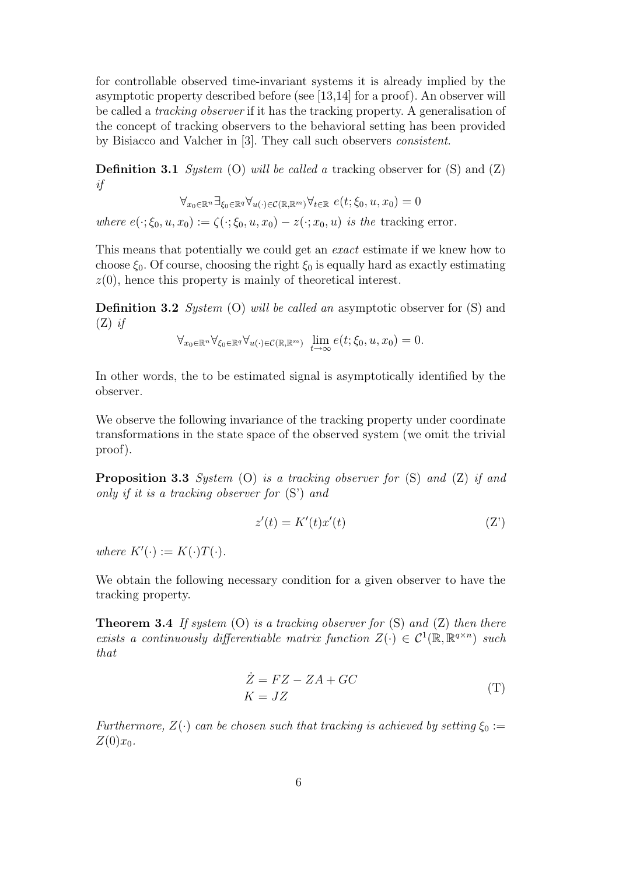for controllable observed time-invariant systems it is already implied by the asymptotic property described before (see [13,14] for a proof). An observer will be called a tracking observer if it has the tracking property. A generalisation of the concept of tracking observers to the behavioral setting has been provided by Bisiacco and Valcher in [3]. They call such observers consistent.

**Definition 3.1** System (O) will be called a tracking observer for  $(S)$  and  $(Z)$ if

$$
\forall_{x_0 \in \mathbb{R}^n} \exists_{\xi_0 \in \mathbb{R}^q} \forall_{u(\cdot) \in \mathcal{C}(\mathbb{R}, \mathbb{R}^m)} \forall_{t \in \mathbb{R}} \ e(t; \xi_0, u, x_0) = 0
$$

where  $e(\cdot;\xi_0,u,x_0) := \zeta(\cdot;\xi_0,u,x_0) - z(\cdot;x_0,u)$  is the tracking error.

This means that potentially we could get an exact estimate if we knew how to choose  $\xi_0$ . Of course, choosing the right  $\xi_0$  is equally hard as exactly estimating  $z(0)$ , hence this property is mainly of theoretical interest.

**Definition 3.2** System (O) will be called an asymptotic observer for  $(S)$  and  $(Z)$  if

$$
\forall_{x_0 \in \mathbb{R}^n} \forall_{\xi_0 \in \mathbb{R}^q} \forall_{u(\cdot) \in \mathcal{C}(\mathbb{R}, \mathbb{R}^m)} \ \lim_{t \to \infty} e(t; \xi_0, u, x_0) = 0.
$$

In other words, the to be estimated signal is asymptotically identified by the observer.

We observe the following invariance of the tracking property under coordinate transformations in the state space of the observed system (we omit the trivial proof).

**Proposition 3.3** System  $(O)$  is a tracking observer for  $(S)$  and  $(Z)$  if and only if it is a tracking observer for (S') and

$$
z'(t) = K'(t)x'(t)
$$
 (Z')

where  $K'(\cdot) := K(\cdot)T(\cdot)$ .

We obtain the following necessary condition for a given observer to have the tracking property.

**Theorem 3.4** If system (O) is a tracking observer for  $(S)$  and  $(Z)$  then there exists a continuously differentiable matrix function  $Z(\cdot) \in C^1(\mathbb{R}, \mathbb{R}^{q \times n})$  such that

$$
\dot{Z} = FZ - ZA + GC
$$
  
\n
$$
K = JZ
$$
 (T)

Furthermore,  $Z(\cdot)$  can be chosen such that tracking is achieved by setting  $\xi_0 :=$  $Z(0)x_0$ .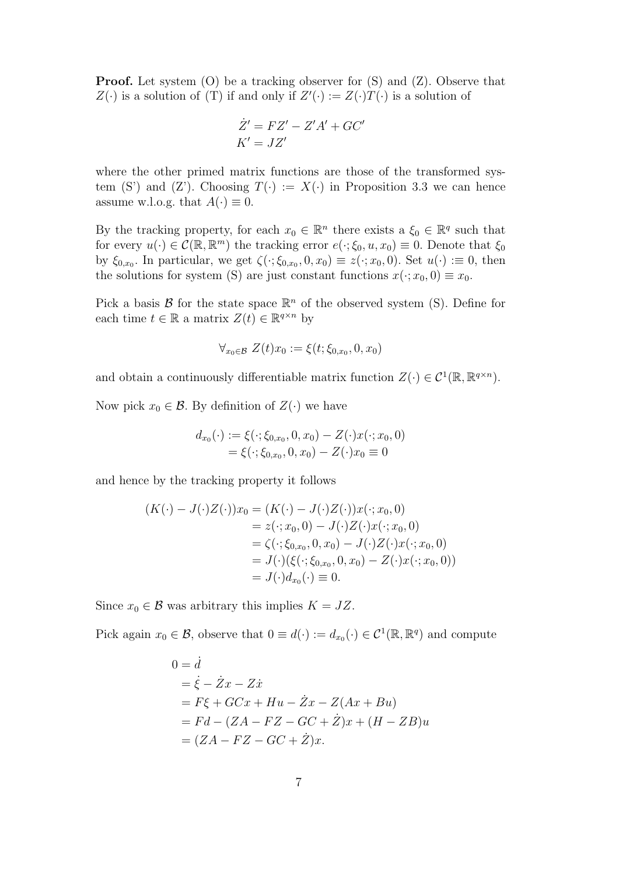**Proof.** Let system (O) be a tracking observer for  $(S)$  and  $(Z)$ . Observe that  $Z(\cdot)$  is a solution of (T) if and only if  $Z'(\cdot) := Z(\cdot)T(\cdot)$  is a solution of

$$
\dot{Z}' = FZ' - Z'A' + GC'
$$
  

$$
K' = JZ'
$$

where the other primed matrix functions are those of the transformed system (S') and (Z'). Choosing  $T(\cdot) := X(\cdot)$  in Proposition 3.3 we can hence assume w.l.o.g. that  $A(\cdot) \equiv 0$ .

By the tracking property, for each  $x_0 \in \mathbb{R}^n$  there exists a  $\xi_0 \in \mathbb{R}^q$  such that for every  $u(\cdot) \in \mathcal{C}(\mathbb{R}, \mathbb{R}^m)$  the tracking error  $e(\cdot; \xi_0, u, x_0) \equiv 0$ . Denote that  $\xi_0$ by  $\xi_{0,x_0}$ . In particular, we get  $\zeta(\cdot;\xi_{0,x_0},0,x_0) \equiv z(\cdot;x_0,0)$ . Set  $u(\cdot) \equiv 0$ , then the solutions for system (S) are just constant functions  $x(\cdot; x_0, 0) \equiv x_0$ .

Pick a basis  $\mathcal B$  for the state space  $\mathbb{R}^n$  of the observed system (S). Define for each time  $t \in \mathbb{R}$  a matrix  $Z(t) \in \mathbb{R}^{q \times n}$  by

$$
\forall_{x_0 \in \mathcal{B}} \ Z(t)x_0 := \xi(t; \xi_{0,x_0}, 0, x_0)
$$

and obtain a continuously differentiable matrix function  $Z(\cdot) \in C^1(\mathbb{R}, \mathbb{R}^{q \times n})$ .

Now pick  $x_0 \in \mathcal{B}$ . By definition of  $Z(\cdot)$  we have

$$
d_{x_0}(\cdot) := \xi(\cdot; \xi_{0,x_0}, 0, x_0) - Z(\cdot) x(\cdot; x_0, 0)
$$
  
=  $\xi(\cdot; \xi_{0,x_0}, 0, x_0) - Z(\cdot) x_0 \equiv 0$ 

and hence by the tracking property it follows

$$
(K(\cdot) - J(\cdot)Z(\cdot))x_0 = (K(\cdot) - J(\cdot)Z(\cdot))x(\cdot; x_0, 0)
$$
  
=  $z(\cdot; x_0, 0) - J(\cdot)Z(\cdot)x(\cdot; x_0, 0)$   
=  $\zeta(\cdot; \xi_{0,x_0}, 0, x_0) - J(\cdot)Z(\cdot)x(\cdot; x_0, 0)$   
=  $J(\cdot)(\xi(\cdot; \xi_{0,x_0}, 0, x_0) - Z(\cdot)x(\cdot; x_0, 0))$   
=  $J(\cdot)d_{x_0}(\cdot) \equiv 0.$ 

Since  $x_0 \in \mathcal{B}$  was arbitrary this implies  $K = JZ$ .

Pick again  $x_0 \in \mathcal{B}$ , observe that  $0 \equiv d(\cdot) := d_{x_0}(\cdot) \in \mathcal{C}^1(\mathbb{R}, \mathbb{R}^q)$  and compute

$$
0 = \dot{d}
$$
  
=  $\dot{\xi} - \dot{Z}x - Z\dot{x}$   
=  $F\xi + GCx + Hu - \dot{Z}x - Z(Ax + Bu)$   
=  $Fd - (ZA - FZ - GC + \dot{Z})x + (H - ZB)u$   
=  $(ZA - FZ - GC + \dot{Z})x$ .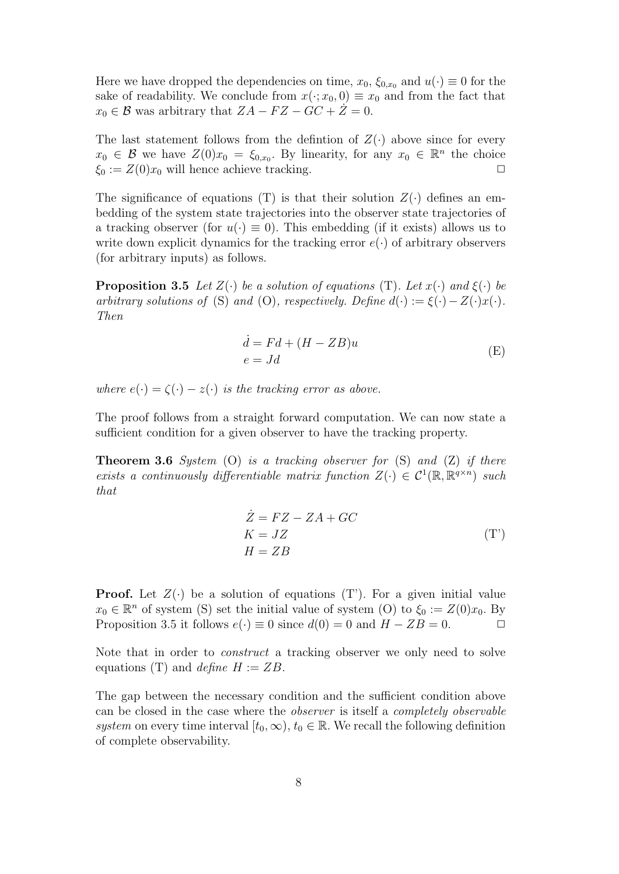Here we have dropped the dependencies on time,  $x_0$ ,  $\xi_{0,x_0}$  and  $u(\cdot) \equiv 0$  for the sake of readability. We conclude from  $x(\cdot; x_0, 0) \equiv x_0$  and from the fact that  $x_0 \in \mathcal{B}$  was arbitrary that  $ZA - FZ - GC + Z = 0$ .

The last statement follows from the defintion of  $Z(\cdot)$  above since for every  $x_0 \in \mathcal{B}$  we have  $Z(0)x_0 = \xi_{0,x_0}$ . By linearity, for any  $x_0 \in \mathbb{R}^n$  the choice  $\xi_0 := Z(0)x_0$  will hence achieve tracking.

The significance of equations (T) is that their solution  $Z(\cdot)$  defines an embedding of the system state trajectories into the observer state trajectories of a tracking observer (for  $u(\cdot) \equiv 0$ ). This embedding (if it exists) allows us to write down explicit dynamics for the tracking error  $e(\cdot)$  of arbitrary observers (for arbitrary inputs) as follows.

**Proposition 3.5** Let  $Z(\cdot)$  be a solution of equations (T). Let  $x(\cdot)$  and  $\xi(\cdot)$  be arbitrary solutions of (S) and (O), respectively. Define  $d(\cdot) := \xi(\cdot) - Z(\cdot)x(\cdot)$ . Then

$$
\begin{aligned}\n\dot{d} &= Fd + (H - ZB)u\\
e &= Jd\n\end{aligned} \tag{E}
$$

where  $e(\cdot) = \zeta(\cdot) - z(\cdot)$  is the tracking error as above.

The proof follows from a straight forward computation. We can now state a sufficient condition for a given observer to have the tracking property.

**Theorem 3.6** System (O) is a tracking observer for  $(S)$  and  $(Z)$  if there exists a continuously differentiable matrix function  $Z(\cdot) \in C^1(\mathbb{R}, \mathbb{R}^{q \times n})$  such that

$$
\begin{aligned}\n\dot{Z} &= FZ - ZA + GC\\
K &= JZ\\
H &= ZB\n\end{aligned} \tag{T'}
$$

**Proof.** Let  $Z(\cdot)$  be a solution of equations (T). For a given initial value  $x_0 \in \mathbb{R}^n$  of system (S) set the initial value of system (O) to  $\xi_0 := Z(0)x_0$ . By Proposition 3.5 it follows  $e(\cdot) \equiv 0$  since  $d(0) = 0$  and  $H - ZB = 0$ .  $\Box$ 

Note that in order to construct a tracking observer we only need to solve equations (T) and *define*  $H := ZB$ .

The gap between the necessary condition and the sufficient condition above can be closed in the case where the observer is itself a completely observable system on every time interval  $[t_0, \infty)$ ,  $t_0 \in \mathbb{R}$ . We recall the following definition of complete observability.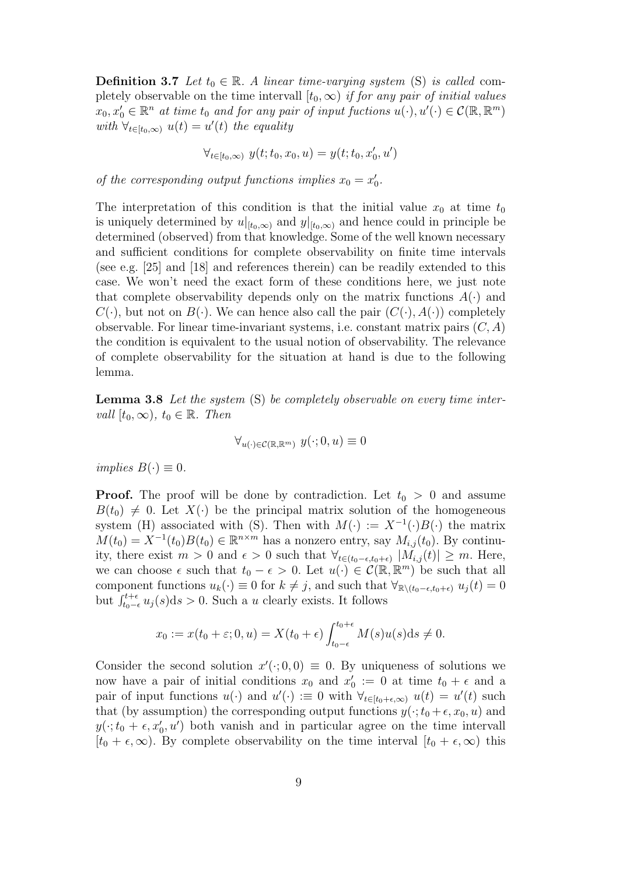**Definition 3.7** Let  $t_0 \in \mathbb{R}$ . A linear time-varying system (S) is called completely observable on the time intervall  $[t_0, \infty)$  if for any pair of initial values  $x_0, x'_0 \in \mathbb{R}^n$  at time  $t_0$  and for any pair of input fuctions  $u(\cdot), u'(\cdot) \in \mathcal{C}(\mathbb{R}, \mathbb{R}^m)$ with  $\forall_{t \in [t_0,\infty)} u(t) = u'(t)$  the equality

$$
\forall_{t \in [t_0, \infty)} \ y(t; t_0, x_0, u) = y(t; t_0, x'_0, u')
$$

of the corresponding output functions implies  $x_0 = x'_0$ .

The interpretation of this condition is that the initial value  $x_0$  at time  $t_0$ is uniquely determined by  $u|_{[t_0,\infty)}$  and  $y|_{[t_0,\infty)}$  and hence could in principle be determined (observed) from that knowledge. Some of the well known necessary and sufficient conditions for complete observability on finite time intervals (see e.g. [25] and [18] and references therein) can be readily extended to this case. We won't need the exact form of these conditions here, we just note that complete observability depends only on the matrix functions  $A(\cdot)$  and  $C(\cdot)$ , but not on  $B(\cdot)$ . We can hence also call the pair  $(C(\cdot), A(\cdot))$  completely observable. For linear time-invariant systems, i.e. constant matrix pairs  $(C, A)$ the condition is equivalent to the usual notion of observability. The relevance of complete observability for the situation at hand is due to the following lemma.

Lemma 3.8 Let the system (S) be completely observable on every time intervall  $[t_0,\infty)$ ,  $t_0 \in \mathbb{R}$ . Then

$$
\forall_{u(\cdot)\in\mathcal{C}(\mathbb{R},\mathbb{R}^m)}\ y(\cdot;0,u)\equiv 0
$$

implies  $B(\cdot) \equiv 0$ .

**Proof.** The proof will be done by contradiction. Let  $t_0 > 0$  and assume  $B(t_0) \neq 0$ . Let  $X(\cdot)$  be the principal matrix solution of the homogeneous system (H) associated with (S). Then with  $M(\cdot) := X^{-1}(\cdot)B(\cdot)$  the matrix  $M(t_0) = X^{-1}(t_0)B(t_0) \in \mathbb{R}^{n \times m}$  has a nonzero entry, say  $M_{i,j}(t_0)$ . By continuity, there exist  $m > 0$  and  $\epsilon > 0$  such that  $\forall_{t \in (t_0 - \epsilon, t_0 + \epsilon)} |M_{i,j}(t)| \geq m$ . Here, we can choose  $\epsilon$  such that  $t_0 - \epsilon > 0$ . Let  $u(\cdot) \in C(\mathbb{R}, \mathbb{R}^m)$  be such that all component functions  $u_k(\cdot) \equiv 0$  for  $k \neq j$ , and such that  $\forall_{\mathbb{R}\setminus (t_0-\epsilon,t_0+\epsilon)} u_j(t) = 0$ but  $\int_{t_0-\epsilon}^{t+\epsilon} u_j(s) ds > 0$ . Such a u clearly exists. It follows

$$
x_0 := x(t_0 + \varepsilon; 0, u) = X(t_0 + \epsilon) \int_{t_0 - \epsilon}^{t_0 + \epsilon} M(s) u(s) ds \neq 0.
$$

Consider the second solution  $x'(\cdot; 0,0) \equiv 0$ . By uniqueness of solutions we now have a pair of initial conditions  $x_0$  and  $x'_0 := 0$  at time  $t_0 + \epsilon$  and a pair of input functions  $u(\cdot)$  and  $u'(\cdot) := 0$  with  $\forall_{t \in [t_0 + \epsilon, \infty)} u(t) = u'(t)$  such that (by assumption) the corresponding output functions  $y(\cdot; t_0 + \epsilon, x_0, u)$  and  $y(\cdot; t_0 + \epsilon, x'_0, u')$  both vanish and in particular agree on the time intervall  $[t_0 + \epsilon, \infty)$ . By complete observability on the time interval  $[t_0 + \epsilon, \infty)$  this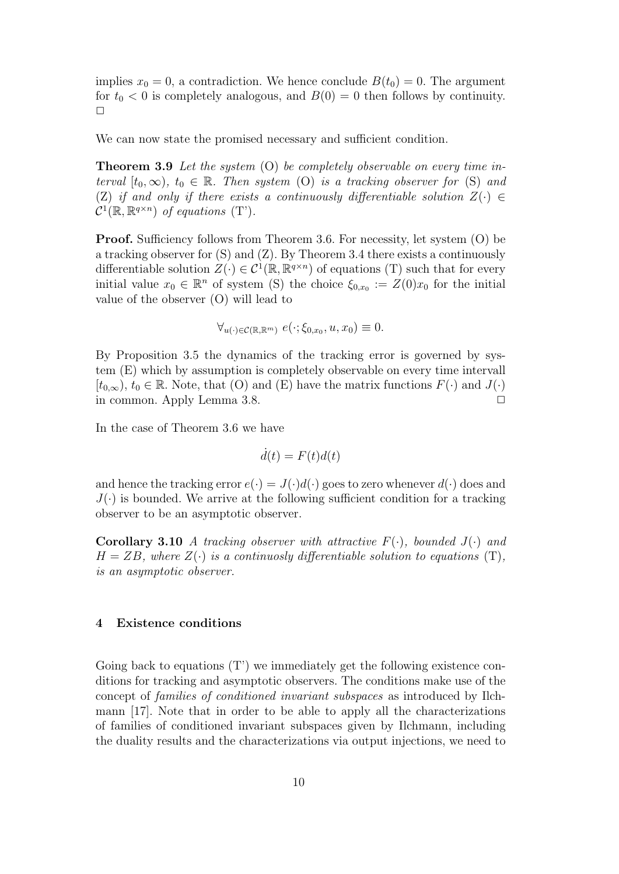implies  $x_0 = 0$ , a contradiction. We hence conclude  $B(t_0) = 0$ . The argument for  $t_0 < 0$  is completely analogous, and  $B(0) = 0$  then follows by continuity.  $\Box$ 

We can now state the promised necessary and sufficient condition.

**Theorem 3.9** Let the system (O) be completely observable on every time interval  $[t_0,\infty)$ ,  $t_0 \in \mathbb{R}$ . Then system (O) is a tracking observer for (S) and (Z) if and only if there exists a continuously differentiable solution  $Z(\cdot) \in$  $\mathcal{C}^1(\mathbb{R}, \mathbb{R}^{q \times n})$  of equations (T').

Proof. Sufficiency follows from Theorem 3.6. For necessity, let system (O) be a tracking observer for (S) and (Z). By Theorem 3.4 there exists a continuously differentiable solution  $Z(\cdot) \in C^1(\mathbb{R}, \mathbb{R}^{q \times n})$  of equations (T) such that for every initial value  $x_0 \in \mathbb{R}^n$  of system (S) the choice  $\xi_{0,x_0} := Z(0)x_0$  for the initial value of the observer (O) will lead to

$$
\forall_{u(\cdot)\in\mathcal{C}(\mathbb{R},\mathbb{R}^m)}\ e(\cdot;\xi_{0,x_0},u,x_0)\equiv 0.
$$

By Proposition 3.5 the dynamics of the tracking error is governed by system (E) which by assumption is completely observable on every time intervall  $[t_{0,\infty}), t_0 \in \mathbb{R}$ . Note, that (O) and (E) have the matrix functions  $F(\cdot)$  and  $J(\cdot)$ in common. Apply Lemma 3.8.  $\Box$ 

In the case of Theorem 3.6 we have

$$
d(t) = F(t)d(t)
$$

and hence the tracking error  $e(\cdot) = J(\cdot)d(\cdot)$  goes to zero whenever  $d(\cdot)$  does and  $J(\cdot)$  is bounded. We arrive at the following sufficient condition for a tracking observer to be an asymptotic observer.

**Corollary 3.10** A tracking observer with attractive  $F(\cdot)$ , bounded  $J(\cdot)$  and  $H = ZB$ , where  $Z(\cdot)$  is a continuosly differentiable solution to equations (T), is an asymptotic observer.

#### 4 Existence conditions

Going back to equations (T') we immediately get the following existence conditions for tracking and asymptotic observers. The conditions make use of the concept of families of conditioned invariant subspaces as introduced by Ilchmann [17]. Note that in order to be able to apply all the characterizations of families of conditioned invariant subspaces given by Ilchmann, including the duality results and the characterizations via output injections, we need to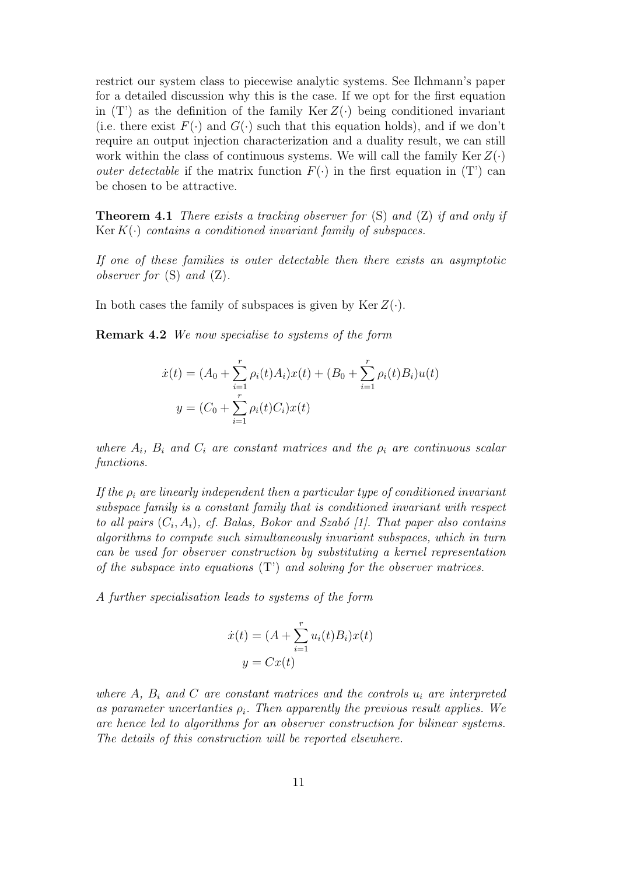restrict our system class to piecewise analytic systems. See Ilchmann's paper for a detailed discussion why this is the case. If we opt for the first equation in  $(T')$  as the definition of the family Ker  $Z(\cdot)$  being conditioned invariant (i.e. there exist  $F(\cdot)$  and  $G(\cdot)$  such that this equation holds), and if we don't require an output injection characterization and a duality result, we can still work within the class of continuous systems. We will call the family  $\text{Ker }Z(\cdot)$ *outer detectable* if the matrix function  $F(\cdot)$  in the first equation in (T') can be chosen to be attractive.

**Theorem 4.1** There exists a tracking observer for  $(S)$  and  $(Z)$  if and only if Ker  $K(\cdot)$  contains a conditioned invariant family of subspaces.

If one of these families is outer detectable then there exists an asymptotic observer for  $(S)$  and  $(Z)$ .

In both cases the family of subspaces is given by  $\text{Ker }Z(\cdot)$ .

Remark 4.2 We now specialise to systems of the form

$$
\dot{x}(t) = (A_0 + \sum_{i=1}^r \rho_i(t)A_i)x(t) + (B_0 + \sum_{i=1}^r \rho_i(t)B_i)u(t)
$$

$$
y = (C_0 + \sum_{i=1}^r \rho_i(t)C_i)x(t)
$$

where  $A_i$ ,  $B_i$  and  $C_i$  are constant matrices and the  $\rho_i$  are continuous scalar functions.

If the  $\rho_i$  are linearly independent then a particular type of conditioned invariant subspace family is a constant family that is conditioned invariant with respect to all pairs  $(C_i, A_i)$ , cf. Balas, Bokor and Szabó [1]. That paper also contains algorithms to compute such simultaneously invariant subspaces, which in turn can be used for observer construction by substituting a kernel representation of the subspace into equations  $(T')$  and solving for the observer matrices.

A further specialisation leads to systems of the form

$$
\dot{x}(t) = (A + \sum_{i=1}^{r} u_i(t)B_i)x(t)
$$

$$
y = Cx(t)
$$

where A,  $B_i$  and C are constant matrices and the controls  $u_i$  are interpreted as parameter uncertanties  $\rho_i$ . Then apparently the previous result applies. We are hence led to algorithms for an observer construction for bilinear systems. The details of this construction will be reported elsewhere.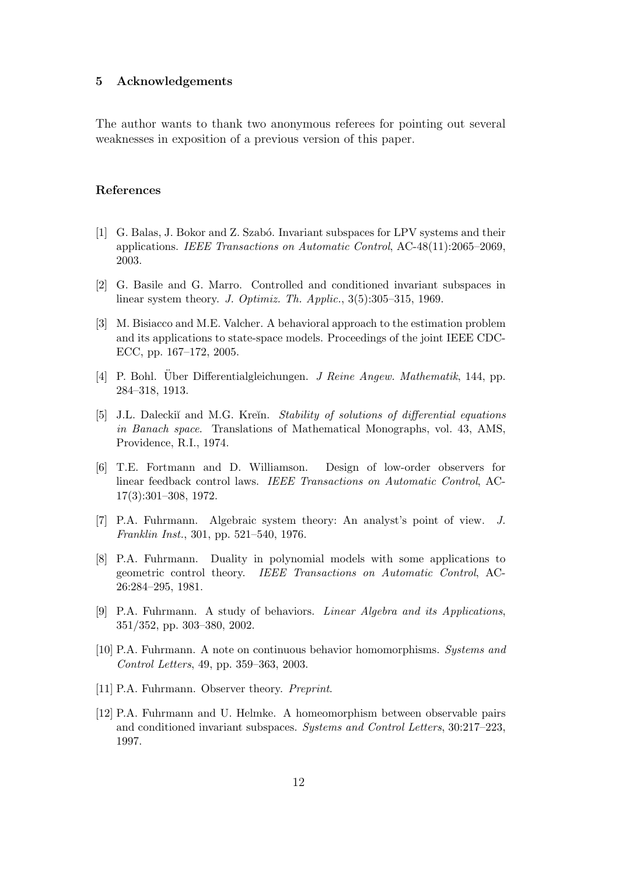#### 5 Acknowledgements

The author wants to thank two anonymous referees for pointing out several weaknesses in exposition of a previous version of this paper.

# References

- [1] G. Balas, J. Bokor and Z. Szabó. Invariant subspaces for LPV systems and their applications. IEEE Transactions on Automatic Control, AC-48(11):2065–2069, 2003.
- [2] G. Basile and G. Marro. Controlled and conditioned invariant subspaces in linear system theory. J. Optimiz. Th. Applic., 3(5):305–315, 1969.
- [3] M. Bisiacco and M.E. Valcher. A behavioral approach to the estimation problem and its applications to state-space models. Proceedings of the joint IEEE CDC-ECC, pp. 167–172, 2005.
- [4] P. Bohl. Über Differentialgleichungen. *J. Reine Angew. Mathematik*, 144, pp. 284–318, 1913.
- [5] J.L. Daleckiĭ and M.G. Kreĭn. Stability of solutions of differential equations in Banach space. Translations of Mathematical Monographs, vol. 43, AMS, Providence, R.I., 1974.
- [6] T.E. Fortmann and D. Williamson. Design of low-order observers for linear feedback control laws. IEEE Transactions on Automatic Control, AC-17(3):301–308, 1972.
- [7] P.A. Fuhrmann. Algebraic system theory: An analyst's point of view. J. Franklin Inst., 301, pp. 521–540, 1976.
- [8] P.A. Fuhrmann. Duality in polynomial models with some applications to geometric control theory. IEEE Transactions on Automatic Control, AC-26:284–295, 1981.
- [9] P.A. Fuhrmann. A study of behaviors. Linear Algebra and its Applications, 351/352, pp. 303–380, 2002.
- [10] P.A. Fuhrmann. A note on continuous behavior homomorphisms. Systems and Control Letters, 49, pp. 359–363, 2003.
- [11] P.A. Fuhrmann. Observer theory. Preprint.
- [12] P.A. Fuhrmann and U. Helmke. A homeomorphism between observable pairs and conditioned invariant subspaces. Systems and Control Letters, 30:217–223, 1997.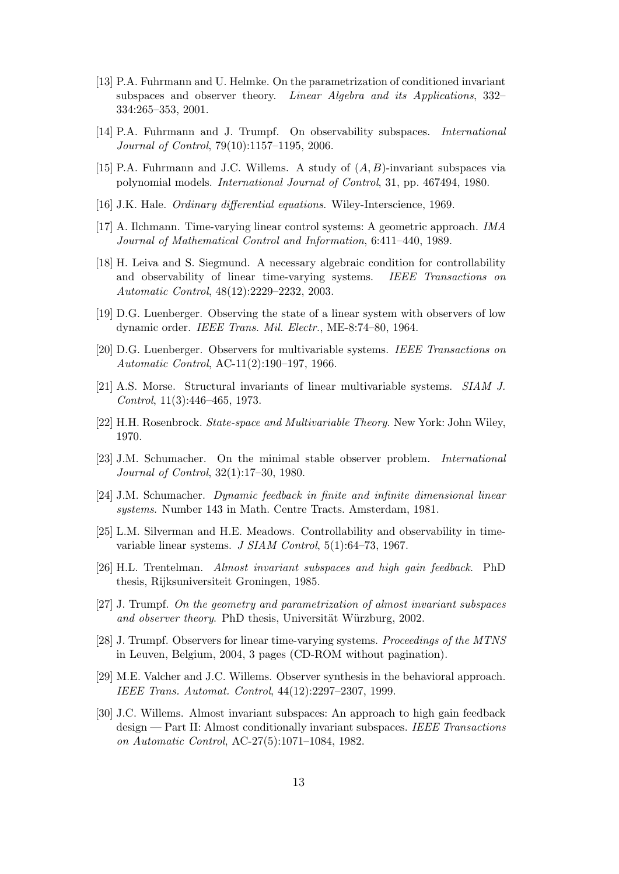- [13] P.A. Fuhrmann and U. Helmke. On the parametrization of conditioned invariant subspaces and observer theory. Linear Algebra and its Applications, 332– 334:265–353, 2001.
- [14] P.A. Fuhrmann and J. Trumpf. On observability subspaces. International Journal of Control, 79(10):1157–1195, 2006.
- [15] P.A. Fuhrmann and J.C. Willems. A study of  $(A, B)$ -invariant subspaces via polynomial models. International Journal of Control, 31, pp. 467494, 1980.
- [16] J.K. Hale. *Ordinary differential equations*. Wiley-Interscience, 1969.
- [17] A. Ilchmann. Time-varying linear control systems: A geometric approach. IMA Journal of Mathematical Control and Information, 6:411–440, 1989.
- [18] H. Leiva and S. Siegmund. A necessary algebraic condition for controllability and observability of linear time-varying systems. IEEE Transactions on Automatic Control, 48(12):2229–2232, 2003.
- [19] D.G. Luenberger. Observing the state of a linear system with observers of low dynamic order. IEEE Trans. Mil. Electr., ME-8:74–80, 1964.
- [20] D.G. Luenberger. Observers for multivariable systems. IEEE Transactions on Automatic Control, AC-11(2):190–197, 1966.
- [21] A.S. Morse. Structural invariants of linear multivariable systems. SIAM J. Control, 11(3):446–465, 1973.
- [22] H.H. Rosenbrock. State-space and Multivariable Theory. New York: John Wiley, 1970.
- [23] J.M. Schumacher. On the minimal stable observer problem. International Journal of Control, 32(1):17–30, 1980.
- [24] J.M. Schumacher. Dynamic feedback in finite and infinite dimensional linear systems. Number 143 in Math. Centre Tracts. Amsterdam, 1981.
- [25] L.M. Silverman and H.E. Meadows. Controllability and observability in timevariable linear systems. J SIAM Control, 5(1):64–73, 1967.
- [26] H.L. Trentelman. Almost invariant subspaces and high gain feedback. PhD thesis, Rijksuniversiteit Groningen, 1985.
- [27] J. Trumpf. On the geometry and parametrization of almost invariant subspaces and observer theory. PhD thesis, Universität Würzburg, 2002.
- [28] J. Trumpf. Observers for linear time-varying systems. Proceedings of the MTNS in Leuven, Belgium, 2004, 3 pages (CD-ROM without pagination).
- [29] M.E. Valcher and J.C. Willems. Observer synthesis in the behavioral approach. IEEE Trans. Automat. Control, 44(12):2297–2307, 1999.
- [30] J.C. Willems. Almost invariant subspaces: An approach to high gain feedback design — Part II: Almost conditionally invariant subspaces. IEEE Transactions on Automatic Control, AC-27(5):1071–1084, 1982.